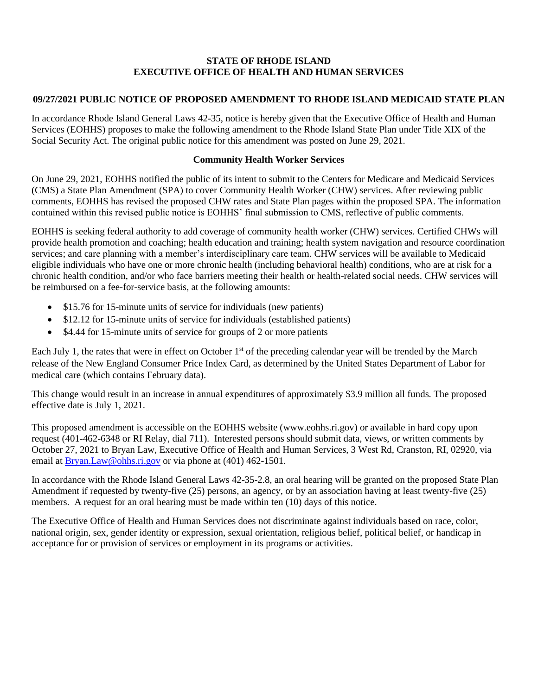#### **STATE OF RHODE ISLAND EXECUTIVE OFFICE OF HEALTH AND HUMAN SERVICES**

### **09/27/2021 PUBLIC NOTICE OF PROPOSED AMENDMENT TO RHODE ISLAND MEDICAID STATE PLAN**

In accordance Rhode Island General Laws 42-35, notice is hereby given that the Executive Office of Health and Human Services (EOHHS) proposes to make the following amendment to the Rhode Island State Plan under Title XIX of the Social Security Act. The original public notice for this amendment was posted on June 29, 2021.

#### **Community Health Worker Services**

On June 29, 2021, EOHHS notified the public of its intent to submit to the Centers for Medicare and Medicaid Services (CMS) a State Plan Amendment (SPA) to cover Community Health Worker (CHW) services. After reviewing public comments, EOHHS has revised the proposed CHW rates and State Plan pages within the proposed SPA. The information contained within this revised public notice is EOHHS' final submission to CMS, reflective of public comments.

EOHHS is seeking federal authority to add coverage of community health worker (CHW) services. Certified CHWs will provide health promotion and coaching; health education and training; health system navigation and resource coordination services; and care planning with a member's interdisciplinary care team. CHW services will be available to Medicaid eligible individuals who have one or more chronic health (including behavioral health) conditions, who are at risk for a chronic health condition, and/or who face barriers meeting their health or health-related social needs. CHW services will be reimbursed on a fee-for-service basis, at the following amounts:

- \$15.76 for 15-minute units of service for individuals (new patients)
- \$12.12 for 15-minute units of service for individuals (established patients)
- \$4.44 for 15-minute units of service for groups of 2 or more patients

Each July 1, the rates that were in effect on October 1<sup>st</sup> of the preceding calendar year will be trended by the March release of the New England Consumer Price Index Card, as determined by the United States Department of Labor for medical care (which contains February data).

This change would result in an increase in annual expenditures of approximately \$3.9 million all funds. The proposed effective date is July 1, 2021.

This proposed amendment is accessible on the EOHHS website (www.eohhs.ri.gov) or available in hard copy upon request (401-462-6348 or RI Relay, dial 711). Interested persons should submit data, views, or written comments by October 27, 2021 to Bryan Law, Executive Office of Health and Human Services, 3 West Rd, Cranston, RI, 02920, via email at [Bryan.Law@ohhs.ri.gov](mailto:Melody.Lawrence@ohhs.ri.gov) or via phone at (401) 462-1501.

In accordance with the Rhode Island General Laws 42-35-2.8, an oral hearing will be granted on the proposed State Plan Amendment if requested by twenty-five (25) persons, an agency, or by an association having at least twenty-five (25) members. A request for an oral hearing must be made within ten (10) days of this notice.

The Executive Office of Health and Human Services does not discriminate against individuals based on race, color, national origin, sex, gender identity or expression, sexual orientation, religious belief, political belief, or handicap in acceptance for or provision of services or employment in its programs or activities.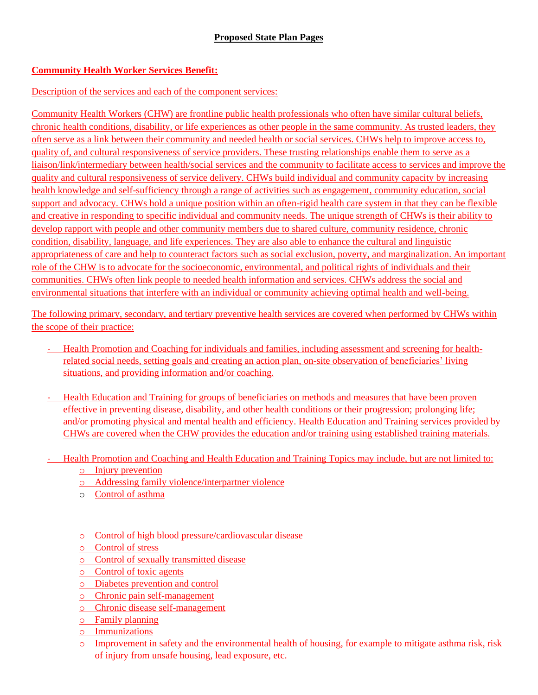# **Community Health Worker Services Benefit:**

## Description of the services and each of the component services:

Community Health Workers (CHW) are frontline public health professionals who often have similar cultural beliefs, chronic health conditions, disability, or life experiences as other people in the same community. As trusted leaders, they often serve as a link between their community and needed health or social services. CHWs help to improve access to, quality of, and cultural responsiveness of service providers. These trusting relationships enable them to serve as a liaison/link/intermediary between health/social services and the community to facilitate access to services and improve the quality and cultural responsiveness of service delivery. CHWs build individual and community capacity by increasing health knowledge and self-sufficiency through a range of activities such as engagement, community education, social support and advocacy. CHWs hold a unique position within an often-rigid health care system in that they can be flexible and creative in responding to specific individual and community needs. The unique strength of CHWs is their ability to develop rapport with people and other community members due to shared culture, community residence, chronic condition, disability, language, and life experiences. They are also able to enhance the cultural and linguistic appropriateness of care and help to counteract factors such as social exclusion, poverty, and marginalization. An important role of the CHW is to advocate for the socioeconomic, environmental, and political rights of individuals and their communities. CHWs often link people to needed health information and services. CHWs address the social and environmental situations that interfere with an individual or community achieving optimal health and well-being.

The following primary, secondary, and tertiary preventive health services are covered when performed by CHWs within the scope of their practice:

- Health Promotion and Coaching for individuals and families, including assessment and screening for healthrelated social needs, setting goals and creating an action plan, on-site observation of beneficiaries' living situations, and providing information and/or coaching*.*
- Health Education and Training for groups of beneficiaries on methods and measures that have been proven effective in preventing disease, disability, and other health conditions or their progression; prolonging life; and/or promoting physical and mental health and efficiency. Health Education and Training services provided by CHWs are covered when the CHW provides the education and/or training using established training materials.
- Health Promotion and Coaching and Health Education and Training Topics may include, but are not limited to:
	- o Injury prevention
	- o Addressing family violence/interpartner violence
	- o Control of asthma
	- o Control of high blood pressure/cardiovascular disease
	- o Control of stress
	- o Control of sexually transmitted disease
	- o Control of toxic agents
	- o Diabetes prevention and control
	- o Chronic pain self-management
	- o Chronic disease self-management
	- o Family planning
	- o Immunizations
	- o Improvement in safety and the environmental health of housing, for example to mitigate asthma risk, risk of injury from unsafe housing, lead exposure, etc.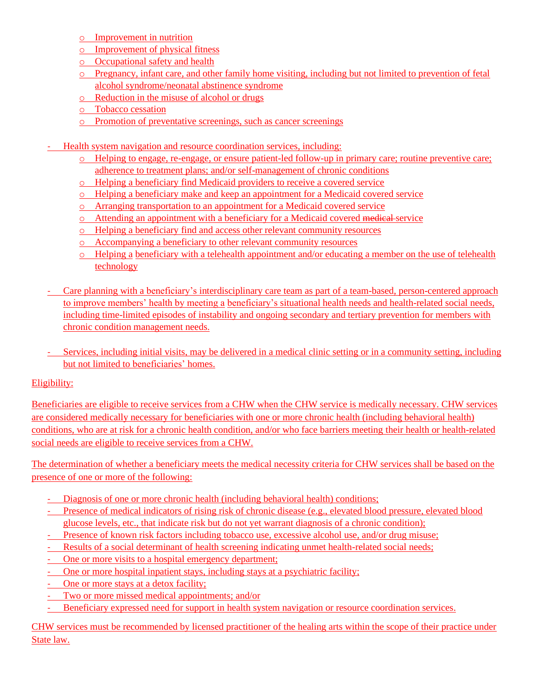- o Improvement in nutrition
- o Improvement of physical fitness
- o Occupational safety and health
- o Pregnancy, infant care, and other family home visiting, including but not limited to prevention of fetal alcohol syndrome/neonatal abstinence syndrome
- o Reduction in the misuse of alcohol or drugs
- o Tobacco cessation
- o Promotion of preventative screenings, such as cancer screenings
- Health system navigation and resource coordination services, including:
	- o Helping to engage, re-engage, or ensure patient-led follow-up in primary care; routine preventive care; adherence to treatment plans; and/or self-management of chronic conditions
	- o Helping a beneficiary find Medicaid providers to receive a covered service
	- o Helping a beneficiary make and keep an appointment for a Medicaid covered service
	- o Arranging transportation to an appointment for a Medicaid covered service
	- o Attending an appointment with a beneficiary for a Medicaid covered medical service
	- o Helping a beneficiary find and access other relevant community resources
	- o Accompanying a beneficiary to other relevant community resources
	- o Helping a beneficiary with a telehealth appointment and/or educating a member on the use of telehealth technology
- Care planning with a beneficiary's interdisciplinary care team as part of a team-based, person-centered approach to improve members' health by meeting a beneficiary's situational health needs and health-related social needs, including time-limited episodes of instability and ongoing secondary and tertiary prevention for members with chronic condition management needs.
- Services, including initial visits, may be delivered in a medical clinic setting or in a community setting, including but not limited to beneficiaries' homes.

## Eligibility:

Beneficiaries are eligible to receive services from a CHW when the CHW service is medically necessary. CHW services are considered medically necessary for beneficiaries with one or more chronic health (including behavioral health) conditions, who are at risk for a chronic health condition, and/or who face barriers meeting their health or health-related social needs are eligible to receive services from a CHW.

The determination of whether a beneficiary meets the medical necessity criteria for CHW services shall be based on the presence of one or more of the following:

- Diagnosis of one or more chronic health (including behavioral health) conditions;
- Presence of medical indicators of rising risk of chronic disease (e.g., elevated blood pressure, elevated blood glucose levels, etc., that indicate risk but do not yet warrant diagnosis of a chronic condition);
- Presence of known risk factors including tobacco use, excessive alcohol use, and/or drug misuse;
- Results of a social determinant of health screening indicating unmet health-related social needs;
- One or more visits to a hospital emergency department;
- One or more hospital inpatient stays, including stays at a psychiatric facility;
- One or more stays at a detox facility;
- Two or more missed medical appointments; and/or
- Beneficiary expressed need for support in health system navigation or resource coordination services.

CHW services must be recommended by licensed practitioner of the healing arts within the scope of their practice under State law.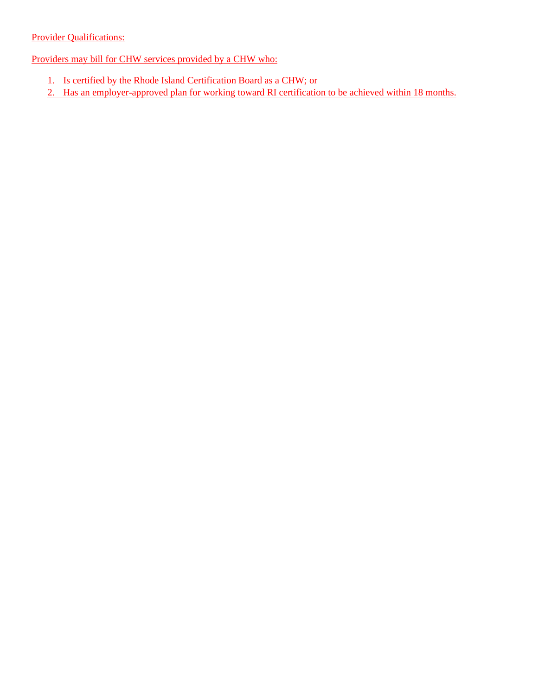### **Provider Qualifications:**

Providers may bill for CHW services provided by a CHW who:

- 1. Is certified by the Rhode Island Certification Board as a CHW; or
- 2. Has an employer-approved plan for working toward RI certification to be achieved within 18 months.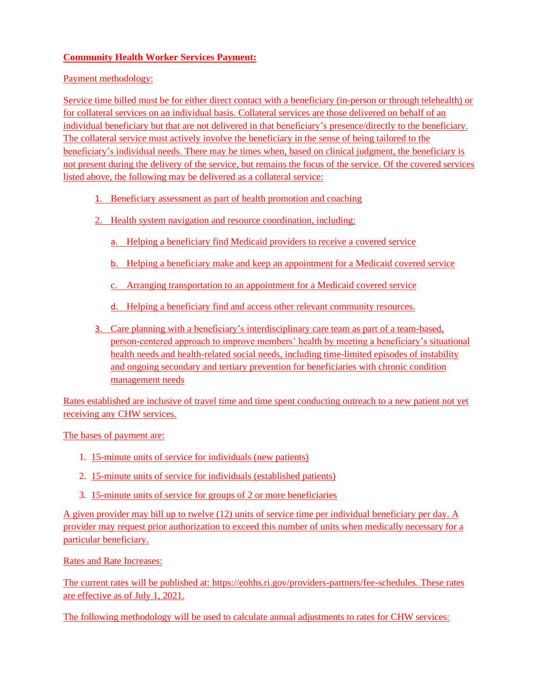### **Community Health Worker Services Payment:**

Payment methodology:

Service time billed must be for either direct contact with a beneficiary (in-person or through telehealth) or for collateral services on an individual basis. Collateral services are those delivered on behalf of an individual beneficiary but that are not delivered in that beneficiary's presence/directly to the beneficiary. The collateral service must actively involve the beneficiary in the sense of being tailored to the beneficiary's individual needs. There may be times when, based on clinical judgment, the beneficiary is not present during the delivery of the service, but remains the focus of the service. Of the covered services listed above, the following may be delivered as a collateral service:

- 1. Beneficiary assessment as part of health promotion and coaching
- 2. Health system navigation and resource coordination, including:
	- a. Helping a beneficiary find Medicaid providers to receive a covered service
	- b. Helping a beneficiary make and keep an appointment for a Medicaid covered service
	- c. Arranging transportation to an appointment for a Medicaid covered service
	- d. Helping a beneficiary find and access other relevant community resources.
- 3. Care planning with a beneficiary's interdisciplinary care team as part of a team-based, person-centered approach to improve members' health by meeting a beneficiary's situational health needs and health-related social needs, including time-limited episodes of instability and ongoing secondary and tertiary prevention for beneficiaries with chronic condition management needs

Rates established are inclusive of travel time and time spent conducting outreach to a new patient not yet receiving any CHW services.

The bases of payment are:

- 1. 15-minute units of service for individuals (new patients)
- 2. 15-minute units of service for individuals (established patients)
- 3. 15-minute units of service for groups of 2 or more beneficiaries

A given provider may bill up to twelve (12) units of service time per individual beneficiary per day. A provider may request prior authorization to exceed this number of units when medically necessary for a particular beneficiary.

Rates and Rate Increases:

The current rates will be published at: https://eohhs.ri.gov/providers-partners/fee-schedules. These rates are effective as of July 1, 2021.

The following methodology will be used to calculate annual adjustments to rates for CHW services: